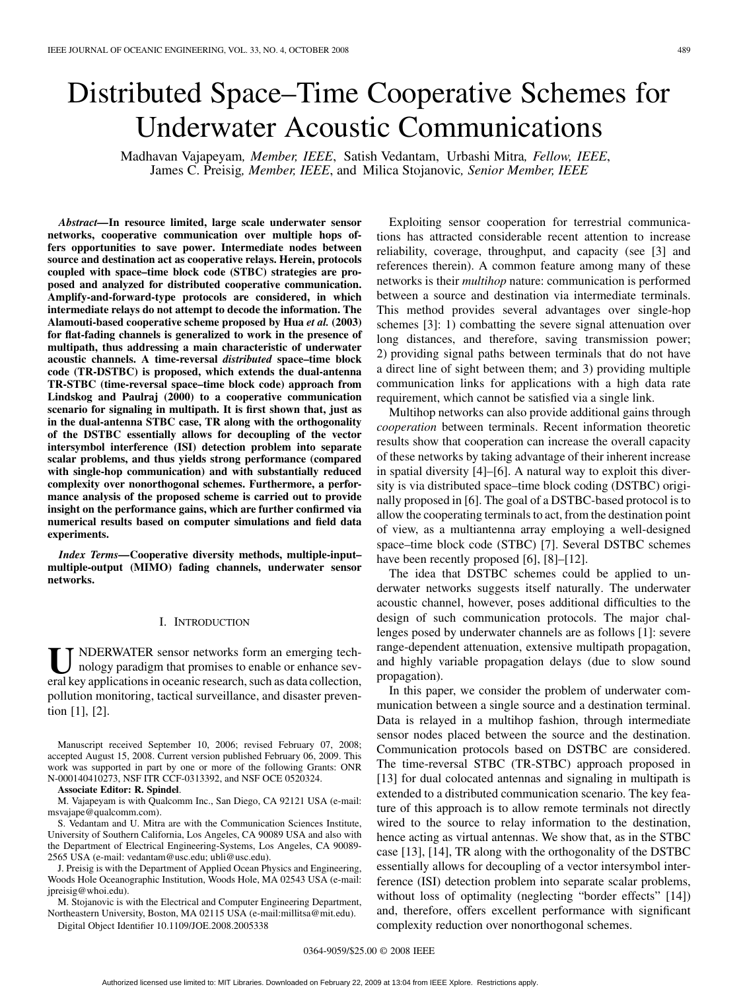# Distributed Space–Time Cooperative Schemes for Underwater Acoustic Communications

Madhavan Vajapeyam*, Member, IEEE*, Satish Vedantam, Urbashi Mitra*, Fellow, IEEE*, James C. Preisig*, Member, IEEE*, and Milica Stojanovic*, Senior Member, IEEE*

*Abstract—***In resource limited, large scale underwater sensor networks, cooperative communication over multiple hops offers opportunities to save power. Intermediate nodes between source and destination act as cooperative relays. Herein, protocols coupled with space–time block code (STBC) strategies are proposed and analyzed for distributed cooperative communication. Amplify-and-forward-type protocols are considered, in which intermediate relays do not attempt to decode the information. The Alamouti-based cooperative scheme proposed by Hua** *et al.* **(2003) for flat-fading channels is generalized to work in the presence of multipath, thus addressing a main characteristic of underwater acoustic channels. A time-reversal** *distributed* **space–time block code (TR-DSTBC) is proposed, which extends the dual-antenna TR-STBC (time-reversal space–time block code) approach from Lindskog and Paulraj (2000) to a cooperative communication scenario for signaling in multipath. It is first shown that, just as in the dual-antenna STBC case, TR along with the orthogonality of the DSTBC essentially allows for decoupling of the vector intersymbol interference (ISI) detection problem into separate scalar problems, and thus yields strong performance (compared with single-hop communication) and with substantially reduced complexity over nonorthogonal schemes. Furthermore, a performance analysis of the proposed scheme is carried out to provide insight on the performance gains, which are further confirmed via numerical results based on computer simulations and field data experiments.**

*Index Terms—***Cooperative diversity methods, multiple-input– multiple-output (MIMO) fading channels, underwater sensor networks.**

## I. INTRODUCTION

U NDERWATER sensor networks form an emerging tech-<br>nology paradigm that promises to enable or enhance sev-<br>explore anticotions in occanic recented, such as data collection eral key applications in oceanic research, such as data collection, pollution monitoring, tactical surveillance, and disaster prevention [1], [2].

Manuscript received September 10, 2006; revised February 07, 2008; accepted August 15, 2008. Current version published February 06, 2009. This work was supported in part by one or more of the following Grants: ONR N-000140410273, NSF ITR CCF-0313392, and NSF OCE 0520324.

**Associate Editor: R. Spindel**.

M. Vajapeyam is with Qualcomm Inc., San Diego, CA 92121 USA (e-mail: msvajape@qualcomm.com).

S. Vedantam and U. Mitra are with the Communication Sciences Institute, University of Southern California, Los Angeles, CA 90089 USA and also with the Department of Electrical Engineering-Systems, Los Angeles, CA 90089- 2565 USA (e-mail: vedantam@usc.edu; ubli@usc.edu).

J. Preisig is with the Department of Applied Ocean Physics and Engineering, Woods Hole Oceanographic Institution, Woods Hole, MA 02543 USA (e-mail: jpreisig@whoi.edu).

M. Stojanovic is with the Electrical and Computer Engineering Department, Northeastern University, Boston, MA 02115 USA (e-mail:millitsa@mit.edu).

Digital Object Identifier 10.1109/JOE.2008.2005338

Exploiting sensor cooperation for terrestrial communications has attracted considerable recent attention to increase reliability, coverage, throughput, and capacity (see [3] and references therein). A common feature among many of these networks is their *multihop* nature: communication is performed between a source and destination via intermediate terminals. This method provides several advantages over single-hop schemes [3]: 1) combatting the severe signal attenuation over long distances, and therefore, saving transmission power; 2) providing signal paths between terminals that do not have a direct line of sight between them; and 3) providing multiple communication links for applications with a high data rate requirement, which cannot be satisfied via a single link.

Multihop networks can also provide additional gains through *cooperation* between terminals. Recent information theoretic results show that cooperation can increase the overall capacity of these networks by taking advantage of their inherent increase in spatial diversity [4]–[6]. A natural way to exploit this diversity is via distributed space–time block coding (DSTBC) originally proposed in [6]. The goal of a DSTBC-based protocol is to allow the cooperating terminals to act, from the destination point of view, as a multiantenna array employing a well-designed space–time block code (STBC) [7]. Several DSTBC schemes have been recently proposed [6], [8]–[12].

The idea that DSTBC schemes could be applied to underwater networks suggests itself naturally. The underwater acoustic channel, however, poses additional difficulties to the design of such communication protocols. The major challenges posed by underwater channels are as follows [1]: severe range-dependent attenuation, extensive multipath propagation, and highly variable propagation delays (due to slow sound propagation).

In this paper, we consider the problem of underwater communication between a single source and a destination terminal. Data is relayed in a multihop fashion, through intermediate sensor nodes placed between the source and the destination. Communication protocols based on DSTBC are considered. The time-reversal STBC (TR-STBC) approach proposed in [13] for dual colocated antennas and signaling in multipath is extended to a distributed communication scenario. The key feature of this approach is to allow remote terminals not directly wired to the source to relay information to the destination, hence acting as virtual antennas. We show that, as in the STBC case [13], [14], TR along with the orthogonality of the DSTBC essentially allows for decoupling of a vector intersymbol interference (ISI) detection problem into separate scalar problems, without loss of optimality (neglecting "border effects" [14]) and, therefore, offers excellent performance with significant complexity reduction over nonorthogonal schemes.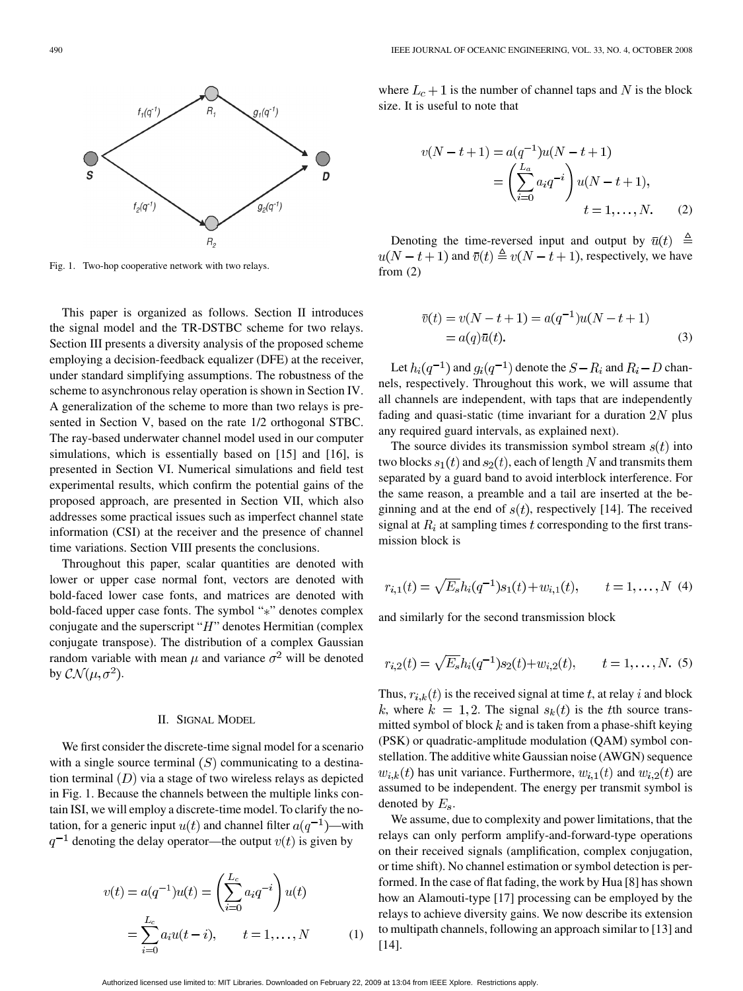

Fig. 1. Two-hop cooperative network with two relays.

This paper is organized as follows. Section II introduces the signal model and the TR-DSTBC scheme for two relays. Section III presents a diversity analysis of the proposed scheme employing a decision-feedback equalizer (DFE) at the receiver, under standard simplifying assumptions. The robustness of the scheme to asynchronous relay operation is shown in Section IV. A generalization of the scheme to more than two relays is presented in Section V, based on the rate 1/2 orthogonal STBC. The ray-based underwater channel model used in our computer simulations, which is essentially based on [15] and [16], is presented in Section VI. Numerical simulations and field test experimental results, which confirm the potential gains of the proposed approach, are presented in Section VII, which also addresses some practical issues such as imperfect channel state information (CSI) at the receiver and the presence of channel time variations. Section VIII presents the conclusions.

Throughout this paper, scalar quantities are denoted with lower or upper case normal font, vectors are denoted with bold-faced lower case fonts, and matrices are denoted with bold-faced upper case fonts. The symbol "\*" denotes complex conjugate and the superscript " $H$ " denotes Hermitian (complex conjugate transpose). The distribution of a complex Gaussian random variable with mean  $\mu$  and variance  $\sigma^2$  will be denoted by  $\mathcal{CN}(\mu,\sigma^2)$ .

#### II. SIGNAL MODEL

We first consider the discrete-time signal model for a scenario with a single source terminal  $(S)$  communicating to a destination terminal  $(D)$  via a stage of two wireless relays as depicted in Fig. 1. Because the channels between the multiple links contain ISI, we will employ a discrete-time model. To clarify the notation, for a generic input  $u(t)$  and channel filter  $a(q^{-1})$ —with  $q^{-1}$  denoting the delay operator—the output  $v(t)$  is given by

$$
v(t) = a(q^{-1})u(t) = \left(\sum_{i=0}^{L_c} a_i q^{-i}\right)u(t)
$$

$$
= \sum_{i=0}^{L_c} a_i u(t-i), \qquad t = 1, ..., N \tag{1}
$$

where  $L_c + 1$  is the number of channel taps and N is the block size. It is useful to note that

$$
v(N - t + 1) = a(q^{-1})u(N - t + 1)
$$
  
=  $\left(\sum_{i=0}^{L_a} a_i q^{-i}\right) u(N - t + 1),$   
 $t = 1, ..., N.$  (2)

Denoting the time-reversed input and output by  $\bar{u}(t) \triangleq$  $u(N-t+1)$  and  $\overline{v}(t) \triangleq v(N-t+1)$ , respectively, we have from (2)

$$
\overline{v}(t) = v(N - t + 1) = a(q^{-1})u(N - t + 1)
$$
  
=  $a(q)\overline{u}(t).$  (3)

Let  $h_i(q^{-1})$  and  $g_i(q^{-1})$  denote the  $S - R_i$  and  $R_i - D$  channels, respectively. Throughout this work, we will assume that all channels are independent, with taps that are independently fading and quasi-static (time invariant for a duration  $2N$  plus any required guard intervals, as explained next).

The source divides its transmission symbol stream  $s(t)$  into two blocks  $s_1(t)$  and  $s_2(t)$ , each of length N and transmits them separated by a guard band to avoid interblock interference. For the same reason, a preamble and a tail are inserted at the beginning and at the end of  $s(t)$ , respectively [14]. The received signal at  $R_i$  at sampling times t corresponding to the first transmission block is

$$
r_{i,1}(t) = \sqrt{E_s}h_i(q^{-1})s_1(t) + w_{i,1}(t), \qquad t = 1, ..., N
$$
 (4)

and similarly for the second transmission block

$$
r_{i,2}(t) = \sqrt{E_s}h_i(q^{-1})s_2(t) + w_{i,2}(t), \qquad t = 1, ..., N.
$$
 (5)

Thus,  $r_{i,k}(t)$  is the received signal at time t, at relay i and block k, where  $k = 1, 2$ . The signal  $s_k(t)$  is the the source transmitted symbol of block  $k$  and is taken from a phase-shift keying (PSK) or quadratic-amplitude modulation (QAM) symbol constellation. The additive white Gaussian noise (AWGN) sequence  $w_{i,k}(t)$  has unit variance. Furthermore,  $w_{i,1}(t)$  and  $w_{i,2}(t)$  are assumed to be independent. The energy per transmit symbol is denoted by  $E_s$ .

We assume, due to complexity and power limitations, that the relays can only perform amplify-and-forward-type operations on their received signals (amplification, complex conjugation, or time shift). No channel estimation or symbol detection is performed. In the case of flat fading, the work by Hua [8] has shown how an Alamouti-type [17] processing can be employed by the relays to achieve diversity gains. We now describe its extension to multipath channels, following an approach similar to [13] and [14].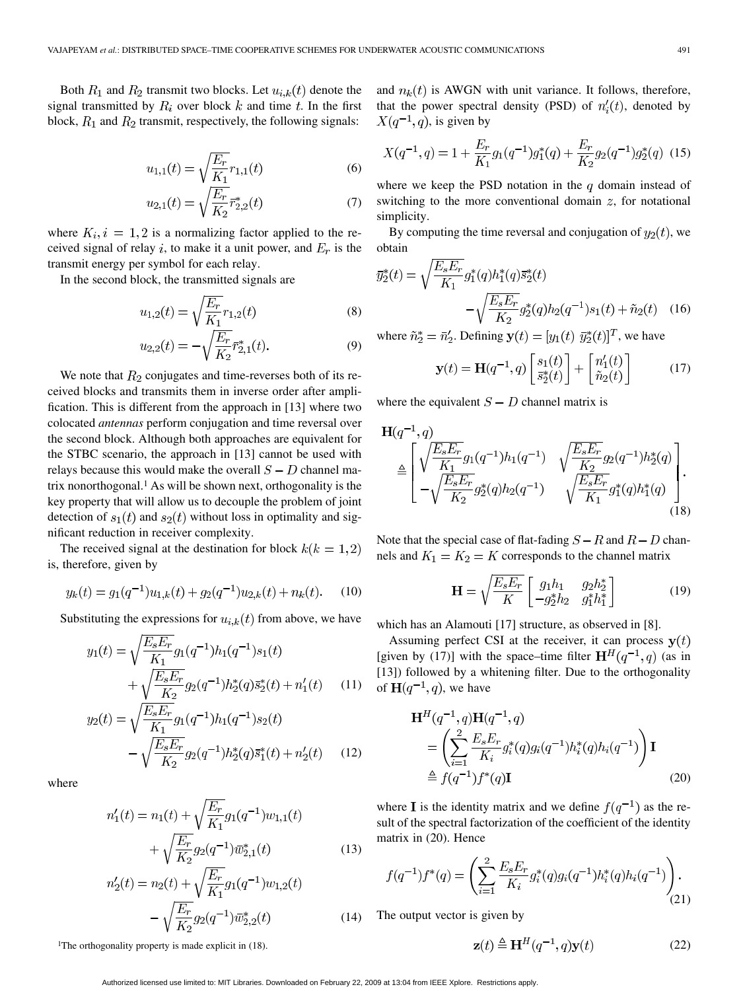Both  $R_1$  and  $R_2$  transmit two blocks. Let  $u_{i,k}(t)$  denote the signal transmitted by  $R_i$  over block k and time t. In the first block,  $R_1$  and  $R_2$  transmit, respectively, the following signals:

$$
u_{1,1}(t) = \sqrt{\frac{E_r}{K_1}} r_{1,1}(t)
$$
 (6)

$$
u_{2,1}(t) = \sqrt{\frac{E_r}{K_2}} \bar{r}_{2,2}^*(t)
$$
\n(7)

where  $K_i$ ,  $i = 1, 2$  is a normalizing factor applied to the received signal of relay i, to make it a unit power, and  $E_r$  is the transmit energy per symbol for each relay.

In the second block, the transmitted signals are

$$
u_{1,2}(t) = \sqrt{\frac{E_r}{K_1}} r_{1,2}(t)
$$
 (8)

$$
u_{2,2}(t) = -\sqrt{\frac{E_r}{K_2}} \bar{r}_{2,1}^*(t). \tag{9}
$$

We note that  $R_2$  conjugates and time-reverses both of its received blocks and transmits them in inverse order after amplification. This is different from the approach in [13] where two colocated *antennas* perform conjugation and time reversal over the second block. Although both approaches are equivalent for the STBC scenario, the approach in [13] cannot be used with relays because this would make the overall  $S - D$  channel matrix nonorthogonal.1 As will be shown next, orthogonality is the key property that will allow us to decouple the problem of joint detection of  $s_1(t)$  and  $s_2(t)$  without loss in optimality and significant reduction in receiver complexity.

The received signal at the destination for block  $k(k = 1,2)$ is, therefore, given by

$$
y_k(t) = g_1(q^{-1})u_{1,k}(t) + g_2(q^{-1})u_{2,k}(t) + n_k(t).
$$
 (10)

Substituting the expressions for  $u_{i,k}(t)$  from above, we have

$$
y_1(t) = \sqrt{\frac{E_s E_r}{K_1}} g_1(q^{-1}) h_1(q^{-1}) s_1(t)
$$

$$
+ \sqrt{\frac{E_s E_r}{K_2}} g_2(q^{-1}) h_2^*(q) \bar{s}_2^*(t) + n_1'(t) \tag{11}
$$

$$
y_2(t) = \sqrt{\frac{E_s E_r}{K_1}} g_1(q^{-1}) h_1(q^{-1}) s_2(t)
$$

$$
- \sqrt{\frac{E_s E_r}{K_2}} g_2(q^{-1}) h_2^*(q) \bar{s}_1^*(t) + n_2'(t) \qquad (12)
$$

where

$$
n_1'(t) = n_1(t) + \sqrt{\frac{E_r}{K_1}} g_1(q^{-1}) w_{1,1}(t)
$$

$$
+ \sqrt{\frac{E_r}{K_2}} g_2(q^{-1}) \bar{w}_{2,1}^*(t)
$$
(13)

$$
n_2'(t) = n_2(t) + \sqrt{\frac{E_r}{K_1}} g_1(q^{-1}) w_{1,2}(t)
$$

$$
- \sqrt{\frac{E_r}{K_2}} g_2(q^{-1}) \bar{w}_{2,2}^*(t) \tag{14}
$$

and  $n_k(t)$  is AWGN with unit variance. It follows, therefore, that the power spectral density (PSD) of  $n'_{i}(t)$ , denoted by  $X(q^{-1}, q)$ , is given by

$$
X(q^{-1}, q) = 1 + \frac{E_r}{K_1} g_1(q^{-1}) g_1^*(q) + \frac{E_r}{K_2} g_2(q^{-1}) g_2^*(q)
$$
 (15)

where we keep the PSD notation in the  $q$  domain instead of switching to the more conventional domain  $z$ , for notational simplicity.

By computing the time reversal and conjugation of  $y_2(t)$ , we obtain

$$
\overline{y}_{2}^{*}(t) = \sqrt{\frac{E_{s}E_{r}}{K_{1}}}g_{1}^{*}(q)h_{1}^{*}(q)\overline{s}_{2}^{*}(t)
$$

$$
-\sqrt{\frac{E_{s}E_{r}}{K_{2}}}g_{2}^{*}(q)h_{2}(q^{-1})s_{1}(t) + \tilde{n}_{2}(t) \quad (16)
$$

where  $\tilde{n}_2^* = \bar{n}_2'$ . Defining  $\mathbf{y}(t) = [y_1(t), \bar{y}_2^*(t)]^T$ , we have

$$
\mathbf{y}(t) = \mathbf{H}(q^{-1}, q) \begin{bmatrix} s_1(t) \\ \bar{s}_2^*(t) \end{bmatrix} + \begin{bmatrix} n'_1(t) \\ \tilde{n}_2(t) \end{bmatrix}
$$
(17)

where the equivalent  $S - D$  channel matrix is

$$
\mathbf{H}(q^{-1}, q) \triangleq \begin{bmatrix} \sqrt{\frac{E_s E_r}{K_1}} g_1(q^{-1}) h_1(q^{-1}) & \sqrt{\frac{E_s E_r}{K_2}} g_2(q^{-1}) h_2^*(q) \\ -\sqrt{\frac{E_s E_r}{K_2}} g_2^*(q) h_2(q^{-1}) & \sqrt{\frac{E_s E_r}{K_1}} g_1^*(q) h_1^*(q) \end{bmatrix} . \tag{18}
$$

Note that the special case of flat-fading  $S - R$  and  $R - D$  channels and  $K_1 = K_2 = K$  corresponds to the channel matrix

$$
\mathbf{H} = \sqrt{\frac{E_s E_r}{K}} \begin{bmatrix} g_1 h_1 & g_2 h_2^* \\ -g_2^* h_2 & g_1^* h_1^* \end{bmatrix}
$$
 (19)

which has an Alamouti [17] structure, as observed in [8].

Assuming perfect CSI at the receiver, it can process  $y(t)$ [given by (17)] with the space–time filter  $H^H(q^{-1}, q)$  (as in [13]) followed by a whitening filter. Due to the orthogonality of  $H(q^{-1}, q)$ , we have

$$
\mathbf{H}^{H}(q^{-1}, q)\mathbf{H}(q^{-1}, q)
$$
\n
$$
= \left(\sum_{i=1}^{2} \frac{E_{s}E_{r}}{K_{i}} g_{i}^{*}(q)g_{i}(q^{-1})h_{i}^{*}(q)h_{i}(q^{-1})\right) \mathbf{I}
$$
\n
$$
\triangleq f(q^{-1})f^{*}(q)\mathbf{I}
$$
\n(20)

where **I** is the identity matrix and we define  $f(q^{-1})$  as the result of the spectral factorization of the coefficient of the identity matrix in (20). Hence

$$
f(q^{-1})f^*(q) = \left(\sum_{i=1}^2 \frac{E_s E_r}{K_i} g_i^*(q) g_i(q^{-1}) h_i^*(q) h_i(q^{-1})\right). \tag{21}
$$

The output vector is given by

$$
\mathbf{z}(t) \triangleq \mathbf{H}^{H}(q^{-1}, q)\mathbf{y}(t)
$$
 (22)

<sup>1</sup>The orthogonality property is made explicit in (18).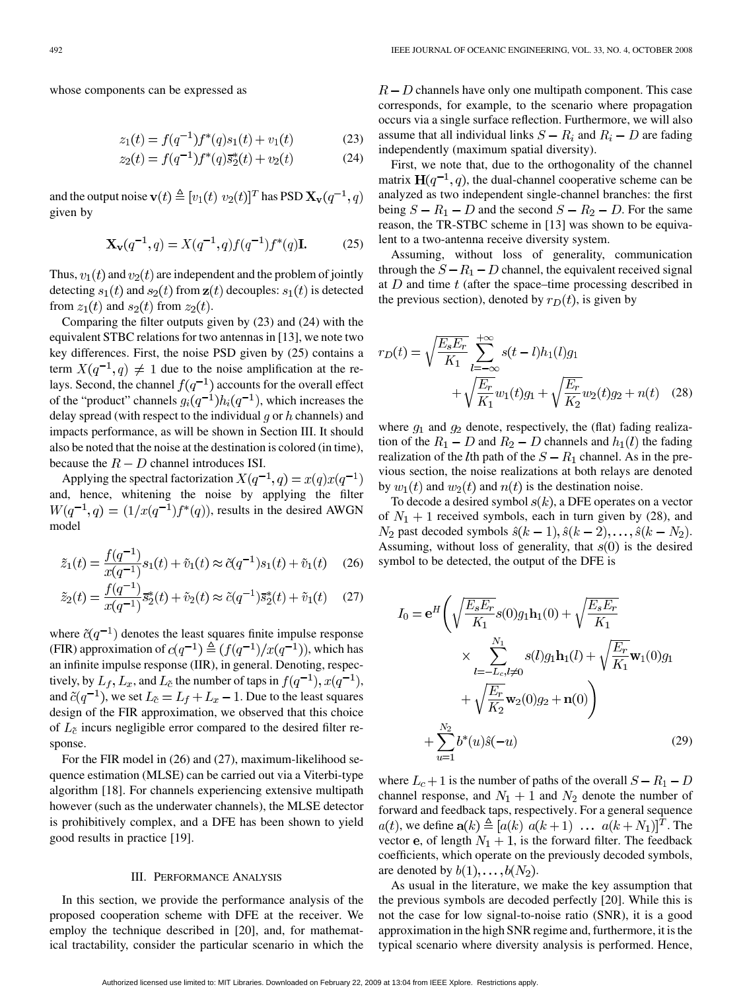whose components can be expressed as

$$
z_1(t) = f(q^{-1})f^*(q)s_1(t) + v_1(t)
$$
 (23)

$$
z_2(t) = f(q^{-1})f^*(q)\overline{s}_2^*(t) + v_2(t)
$$
 (24)

and the output noise  $\mathbf{v}(t) \triangleq [v_1(t) \ v_2(t)]^T$  has PSD  $\mathbf{X}_{\mathbf{v}}(q^{-1}, q)$ given by

$$
\mathbf{X}_{\mathbf{v}}(q^{-1},q) = X(q^{-1},q)f(q^{-1})f^*(q)\mathbf{I}.
$$
 (25)

Thus,  $v_1(t)$  and  $v_2(t)$  are independent and the problem of jointly detecting  $s_1(t)$  and  $s_2(t)$  from  $z(t)$  decouples:  $s_1(t)$  is detected from  $z_1(t)$  and  $s_2(t)$  from  $z_2(t)$ .

Comparing the filter outputs given by (23) and (24) with the equivalent STBC relations for two antennas in [13], we note two key differences. First, the noise PSD given by (25) contains a term  $X(q^{-1}, q) \neq 1$  due to the noise amplification at the relays. Second, the channel  $f(q^{-1})$  accounts for the overall effect of the "product" channels  $q_i(q^{-1})h_i(q^{-1})$ , which increases the delay spread (with respect to the individual  $q$  or  $h$  channels) and impacts performance, as will be shown in Section III. It should also be noted that the noise at the destination is colored (in time), because the  $R - D$  channel introduces ISI.

Applying the spectral factorization  $X(q^{-1}, q) = x(q)x(q^{-1})$ and, hence, whitening the noise by applying the filter  $W(q^{-1}, q) = (1/x(q^{-1})f^*(q))$ , results in the desired AWGN model

$$
\tilde{z}_1(t) = \frac{f(q^{-1})}{x(q^{-1})} s_1(t) + \tilde{v}_1(t) \approx \tilde{c}(q^{-1}) s_1(t) + \tilde{v}_1(t) \quad (26)
$$

$$
\tilde{z}_2(t) = \frac{f(q^{-1})}{x(q^{-1})} \bar{s}_2^*(t) + \tilde{v}_2(t) \approx \tilde{c}(q^{-1}) \bar{s}_2^*(t) + \tilde{v}_1(t) \quad (27)
$$

where  $\tilde{c}(q^{-1})$  denotes the least squares finite impulse response (FIR) approximation of  $c(q^{-1}) \triangleq (f(q^{-1})/x(q^{-1}))$ , which has an infinite impulse response (IIR), in general. Denoting, respectively, by  $L_f$ ,  $L_x$ , and  $L_{\tilde{c}}$  the number of taps in  $f(q^{-1})$ ,  $x(q^{-1})$ , and  $\tilde{c}(q^{-1})$ , we set  $L_{\tilde{c}} = L_f + L_x - 1$ . Due to the least squares design of the FIR approximation, we observed that this choice of  $L_{\tilde{c}}$  incurs negligible error compared to the desired filter response.

For the FIR model in (26) and (27), maximum-likelihood sequence estimation (MLSE) can be carried out via a Viterbi-type algorithm [18]. For channels experiencing extensive multipath however (such as the underwater channels), the MLSE detector is prohibitively complex, and a DFE has been shown to yield good results in practice [19].

#### III. PERFORMANCE ANALYSIS

In this section, we provide the performance analysis of the proposed cooperation scheme with DFE at the receiver. We employ the technique described in [20], and, for mathematical tractability, consider the particular scenario in which the

 $R - D$  channels have only one multipath component. This case corresponds, for example, to the scenario where propagation occurs via a single surface reflection. Furthermore, we will also assume that all individual links  $S - R_i$  and  $R_i - D$  are fading independently (maximum spatial diversity).

First, we note that, due to the orthogonality of the channel matrix  $H(q^{-1}, q)$ , the dual-channel cooperative scheme can be analyzed as two independent single-channel branches: the first being  $S - R_1 - D$  and the second  $S - R_2 - D$ . For the same reason, the TR-STBC scheme in [13] was shown to be equivalent to a two-antenna receive diversity system.

Assuming, without loss of generality, communication through the  $S - R_1 - D$  channel, the equivalent received signal at  $D$  and time  $t$  (after the space–time processing described in the previous section), denoted by  $r_D(t)$ , is given by

$$
r_D(t) = \sqrt{\frac{E_s E_r}{K_1}} \sum_{l = -\infty}^{+\infty} s(t - l)h_1(l)g_1 + \sqrt{\frac{E_r}{K_1}} w_1(t)g_1 + \sqrt{\frac{E_r}{K_2}} w_2(t)g_2 + n(t) \quad (28)
$$

where  $g_1$  and  $g_2$  denote, respectively, the (flat) fading realization of the  $R_1 - D$  and  $R_2 - D$  channels and  $h_1(l)$  the fading realization of the *l*th path of the  $S - R_1$  channel. As in the previous section, the noise realizations at both relays are denoted by  $w_1(t)$  and  $w_2(t)$  and  $n(t)$  is the destination noise.

To decode a desired symbol  $s(k)$ , a DFE operates on a vector of  $N_1 + 1$  received symbols, each in turn given by (28), and  $N_2$  past decoded symbols  $\hat{s}(k-1), \hat{s}(k-2), \dots, \hat{s}(k-N_2)$ . Assuming, without loss of generality, that  $s(0)$  is the desired symbol to be detected, the output of the DFE is

$$
I_0 = e^H \left( \sqrt{\frac{E_s E_r}{K_1}} s(0) g_1 \mathbf{h}_1(0) + \sqrt{\frac{E_s E_r}{K_1}} \times \sum_{l=-L_c, l \neq 0}^{N_1} s(l) g_1 \mathbf{h}_1(l) + \sqrt{\frac{E_r}{K_1}} \mathbf{w}_1(0) g_1 + \sqrt{\frac{E_r}{K_2}} \mathbf{w}_2(0) g_2 + \mathbf{n}(0) \right) + \sum_{u=1}^{N_2} b^*(u) \hat{s}(-u) \tag{29}
$$

where  $L_c + 1$  is the number of paths of the overall  $S - R_1 - D$ channel response, and  $N_1 + 1$  and  $N_2$  denote the number of forward and feedback taps, respectively. For a general sequence  $a(t)$ , we define  $\mathbf{a}(k) \triangleq [a(k) \ a(k+1) \ \dots \ a(k+N_1)]^T$ . The vector e, of length  $N_1 + 1$ , is the forward filter. The feedback coefficients, which operate on the previously decoded symbols, are denoted by  $b(1), \ldots, b(N_2)$ .

As usual in the literature, we make the key assumption that the previous symbols are decoded perfectly [20]. While this is not the case for low signal-to-noise ratio (SNR), it is a good approximation in the high SNR regime and, furthermore, it is the typical scenario where diversity analysis is performed. Hence,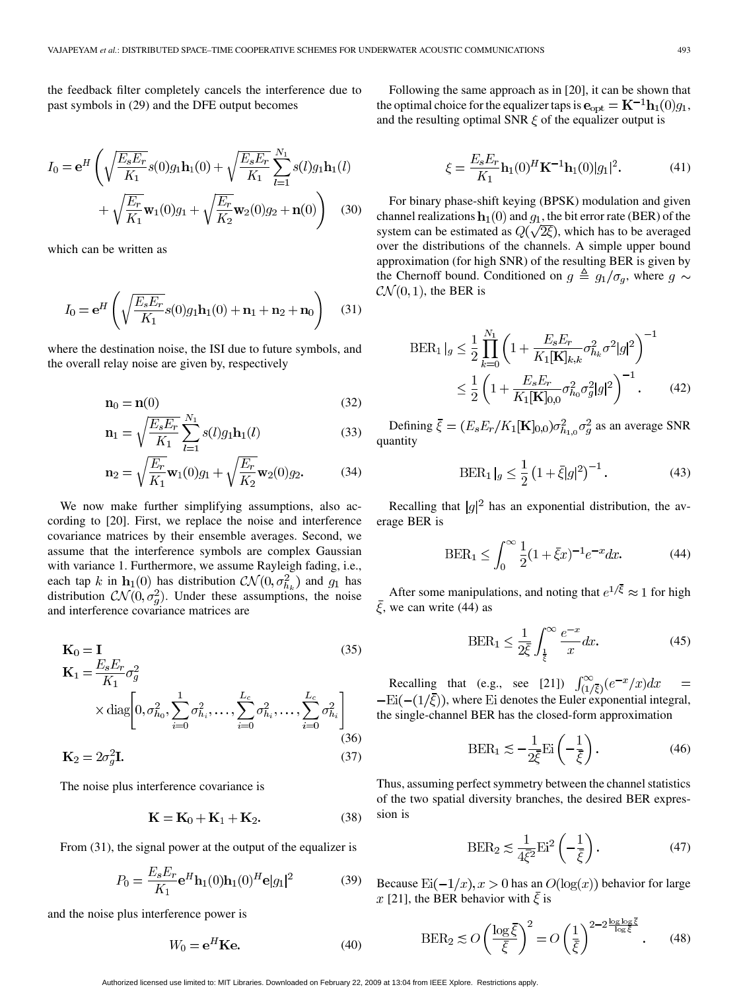the feedback filter completely cancels the interference due to past symbols in (29) and the DFE output becomes

$$
I_0 = e^H \left( \sqrt{\frac{E_s E_r}{K_1}} s(0) g_1 \mathbf{h}_1(0) + \sqrt{\frac{E_s E_r}{K_1}} \sum_{l=1}^{N_1} s(l) g_1 \mathbf{h}_1(l) + \sqrt{\frac{E_r}{K_1}} \mathbf{w}_1(0) g_1 + \sqrt{\frac{E_r}{K_2}} \mathbf{w}_2(0) g_2 + \mathbf{n}(0) \right) \tag{30}
$$

which can be written as

$$
I_0 = \mathbf{e}^H \left( \sqrt{\frac{E_s E_r}{K_1}} s(0) g_1 \mathbf{h}_1(0) + \mathbf{n}_1 + \mathbf{n}_2 + \mathbf{n}_0 \right) \tag{31}
$$

where the destination noise, the ISI due to future symbols, and the overall relay noise are given by, respectively

$$
\mathbf{n}_0 = \mathbf{n}(0) \tag{32}
$$

$$
\mathbf{n}_1 = \sqrt{\frac{E_s E_r}{K_1}} \sum_{l=1}^{N_1} s(l) g_1 \mathbf{h}_1(l)
$$
(33)

$$
\mathbf{n}_2 = \sqrt{\frac{E_r}{K_1}} \mathbf{w}_1(0) g_1 + \sqrt{\frac{E_r}{K_2}} \mathbf{w}_2(0) g_2.
$$
 (34)

We now make further simplifying assumptions, also according to [20]. First, we replace the noise and interference covariance matrices by their ensemble averages. Second, we assume that the interference symbols are complex Gaussian with variance 1. Furthermore, we assume Rayleigh fading, i.e., each tap k in  $\mathbf{h}_1(0)$  has distribution  $\mathcal{CN}(0, \sigma_{h_k}^2)$  and  $g_1$  has distribution  $CN(0, \sigma_q^2)$ . Under these assumptions, the noise and interference covariance matrices are

$$
\mathbf{K}_0 = \mathbf{I}
$$
(35)  
\n
$$
\mathbf{K}_1 = \frac{E_s E_r}{K_1} \sigma_g^2
$$
  
\n
$$
\times \text{diag}\left[0, \sigma_{h_0}^2, \sum_{i=0}^1 \sigma_{h_i}^2, \dots, \sum_{i=0}^{L_c} \sigma_{h_i}^2, \dots, \sum_{i=0}^{L_c} \sigma_{h_i}^2\right]
$$
  
\n
$$
\mathbf{K}_2 = 2\sigma_g^2 \mathbf{I}.
$$
(37)

The noise plus interference covariance is

$$
\mathbf{K} = \mathbf{K}_0 + \mathbf{K}_1 + \mathbf{K}_2. \tag{38}
$$

From  $(31)$ , the signal power at the output of the equalizer is

$$
P_0 = \frac{E_s E_r}{K_1} e^H \mathbf{h}_1(0) \mathbf{h}_1(0)^H \mathbf{e} |g_1|^2
$$
 (39)

and the noise plus interference power is

$$
W_0 = \mathbf{e}^H \mathbf{K} \mathbf{e}.\tag{40}
$$

Following the same approach as in [20], it can be shown that the optimal choice for the equalizer taps is  ${\bf e}_{opt} = {\bf K}^{-1}{\bf h}_1(0)g_1$ , and the resulting optimal SNR  $\xi$  of the equalizer output is

$$
\xi = \frac{E_s E_r}{K_1} \mathbf{h}_1(0)^H \mathbf{K}^{-1} \mathbf{h}_1(0) |g_1|^2.
$$
 (41)

For binary phase-shift keying (BPSK) modulation and given channel realizations  $h_1(0)$  and  $g_1$ , the bit error rate (BER) of the system can be estimated as  $Q(\sqrt{2\xi})$ , which has to be averaged over the distributions of the channels. A simple upper bound approximation (for high SNR) of the resulting BER is given by the Chernoff bound. Conditioned on  $g \triangleq g_1/\sigma_q$ , where  $g \sim$  $\mathcal{CN}(0,1)$ , the BER is

$$
\begin{split} \text{BER}_1 \left|_{g} \leq \frac{1}{2} \prod_{k=0}^{N_1} \left( 1 + \frac{E_s E_r}{K_1[\mathbf{K}]_{k,k}} \sigma_{h_k}^2 \sigma^2 |g|^2 \right)^{-1} \\ &\leq \frac{1}{2} \left( 1 + \frac{E_s E_r}{K_1[\mathbf{K}]_{0,0}} \sigma_{h_0}^2 \sigma_g^2 |g|^2 \right)^{-1} . \end{split} \tag{42}
$$

Defining  $\bar{\xi} = (E_s E_r/K_1[\mathbf{K}]_{0,0})\sigma_{h_{1,0}}^2 \sigma_g^2$  as an average SNR quantity

$$
\text{BER}_1|_g \le \frac{1}{2} \left( 1 + \bar{\xi}|g|^2 \right)^{-1}.
$$
 (43)

Recalling that  $|g|^2$  has an exponential distribution, the average BER is

$$
\text{BER}_1 \le \int_0^\infty \frac{1}{2} (1 + \bar{\xi}x)^{-1} e^{-x} dx. \tag{44}
$$

After some manipulations, and noting that  $e^{1/\bar{\xi}} \approx 1$  for high  $\xi$ , we can write (44) as

$$
\text{BER}_1 \le \frac{1}{2\xi} \int_{\frac{1}{\xi}}^{\infty} \frac{e^{-x}}{x} dx. \tag{45}
$$

Recalling that (e.g., see [21])  $\int_{(1/\xi)}^{\infty} (e^{-x}/x) dx$  $-Ei(-(1/\bar{\xi}))$ , where Ei denotes the Euler exponential integral, the single-channel BER has the closed-form approximation

$$
\text{BER}_1 \lesssim -\frac{1}{2\xi} \text{Ei}\left(-\frac{1}{\xi}\right). \tag{46}
$$

Thus, assuming perfect symmetry between the channel statistics of the two spatial diversity branches, the desired BER expression is

$$
\text{BER}_2 \lesssim \frac{1}{4\bar{\xi}^2} \text{Ei}^2 \left( -\frac{1}{\bar{\xi}} \right). \tag{47}
$$

Because  $\text{Ei}(-1/x), x > 0$  has an  $O(\log(x))$  behavior for large x [21], the BER behavior with  $\xi$  is

$$
\text{BER}_2 \lesssim O\left(\frac{\log \bar{\xi}}{\bar{\xi}}\right)^2 = O\left(\frac{1}{\bar{\xi}}\right)^{2 - 2\frac{\log \log \bar{\xi}}{\log \bar{\xi}}}. \tag{48}
$$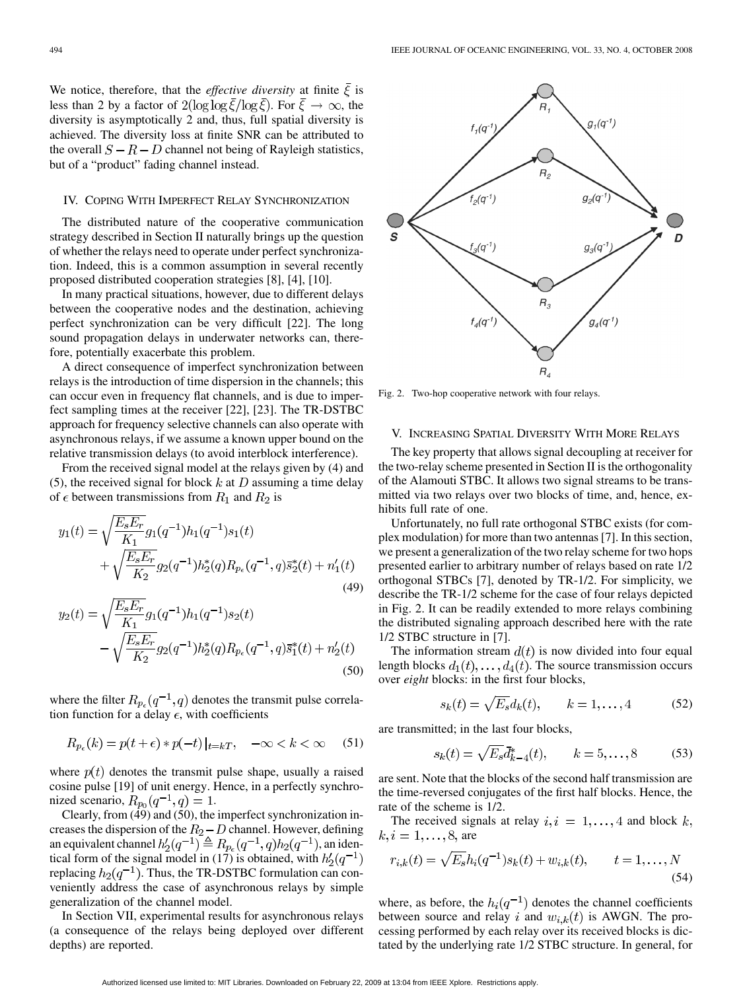We notice, therefore, that the *effective diversity* at finite  $\overline{\xi}$  is less than 2 by a factor of  $2(\log \log \overline{\xi}/\log \overline{\xi})$ . For  $\overline{\xi} \to \infty$ , the diversity is asymptotically 2 and, thus, full spatial diversity is achieved. The diversity loss at finite SNR can be attributed to the overall  $S - R - D$  channel not being of Rayleigh statistics, but of a "product" fading channel instead.

## IV. COPING WITH IMPERFECT RELAY SYNCHRONIZATION

The distributed nature of the cooperative communication strategy described in Section II naturally brings up the question of whether the relays need to operate under perfect synchronization. Indeed, this is a common assumption in several recently proposed distributed cooperation strategies [8], [4], [10].

In many practical situations, however, due to different delays between the cooperative nodes and the destination, achieving perfect synchronization can be very difficult [22]. The long sound propagation delays in underwater networks can, therefore, potentially exacerbate this problem.

A direct consequence of imperfect synchronization between relays is the introduction of time dispersion in the channels; this can occur even in frequency flat channels, and is due to imperfect sampling times at the receiver [22], [23]. The TR-DSTBC approach for frequency selective channels can also operate with asynchronous relays, if we assume a known upper bound on the relative transmission delays (to avoid interblock interference).

From the received signal model at the relays given by (4) and (5), the received signal for block k at D assuming a time delay of  $\epsilon$  between transmissions from  $R_1$  and  $R_2$  is

$$
y_1(t) = \sqrt{\frac{E_s E_r}{K_1}} g_1(q^{-1}) h_1(q^{-1}) s_1(t)
$$
  
+ 
$$
\sqrt{\frac{E_s E_r}{K_2}} g_2(q^{-1}) h_2^*(q) R_{p_\epsilon}(q^{-1}, q) \vec{s}_2^*(t) + n_1'(t)
$$
(49)

$$
y_2(t) = \sqrt{\frac{E_s E_r}{K_1}} g_1(q^{-1}) h_1(q^{-1}) s_2(t)
$$

$$
- \sqrt{\frac{E_s E_r}{K_2}} g_2(q^{-1}) h_2^*(q) R_{p_\epsilon}(q^{-1}, q) \bar{s}_1^*(t) + n_2'(t)
$$
(50)

where the filter  $R_{p_e}(q^{-1}, q)$  denotes the transmit pulse correlation function for a delay  $\epsilon$ , with coefficients

$$
R_{p_{\epsilon}}(k) = p(t + \epsilon) * p(-t)|_{t=kT}, \quad -\infty < k < \infty \quad (51)
$$

where  $p(t)$  denotes the transmit pulse shape, usually a raised cosine pulse [19] of unit energy. Hence, in a perfectly synchronized scenario,  $R_{p_0}(q^{-1}, q) = 1$ .

Clearly, from (49) and (50), the imperfect synchronization increases the dispersion of the  $R_2 - D$  channel. However, defining an equivalent channel  $h'_2(q^{-1}) \triangleq R_{p_e}(q^{-1}, q)h_2(q^{-1})$ , an identical form of the signal model in (17) is obtained, with replacing  $h_2(q^{-1})$ . Thus, the TR-DSTBC formulation can conveniently address the case of asynchronous relays by simple generalization of the channel model.

In Section VII, experimental results for asynchronous relays (a consequence of the relays being deployed over different depths) are reported.



Fig. 2. Two-hop cooperative network with four relays.

# V. INCREASING SPATIAL DIVERSITY WITH MORE RELAYS

The key property that allows signal decoupling at receiver for the two-relay scheme presented in Section II is the orthogonality of the Alamouti STBC. It allows two signal streams to be transmitted via two relays over two blocks of time, and, hence, exhibits full rate of one.

Unfortunately, no full rate orthogonal STBC exists (for complex modulation) for more than two antennas [7]. In this section, we present a generalization of the two relay scheme for two hops presented earlier to arbitrary number of relays based on rate 1/2 orthogonal STBCs [7], denoted by TR-1/2. For simplicity, we describe the TR-1/2 scheme for the case of four relays depicted in Fig. 2. It can be readily extended to more relays combining the distributed signaling approach described here with the rate 1/2 STBC structure in [7].

The information stream  $d(t)$  is now divided into four equal length blocks  $d_1(t), \ldots, d_4(t)$ . The source transmission occurs over *eight* blocks: in the first four blocks,

$$
s_k(t) = \sqrt{E_s}d_k(t), \qquad k = 1, \dots, 4 \tag{52}
$$

are transmitted; in the last four blocks,

$$
s_k(t) = \sqrt{E_s} \bar{d}_{k-4}^*(t), \qquad k = 5, ..., 8 \tag{53}
$$

are sent. Note that the blocks of the second half transmission are the time-reversed conjugates of the first half blocks. Hence, the rate of the scheme is 1/2.

The received signals at relay  $i, i = 1, \ldots, 4$  and block k,  $k, i = 1, ..., 8$ , are

$$
r_{i,k}(t) = \sqrt{E_s} h_i(q^{-1}) s_k(t) + w_{i,k}(t), \qquad t = 1, ..., N
$$
\n(54)

where, as before, the  $h_i(q^{-1})$  denotes the channel coefficients between source and relay i and  $w_{i,k}(t)$  is AWGN. The processing performed by each relay over its received blocks is dictated by the underlying rate 1/2 STBC structure. In general, for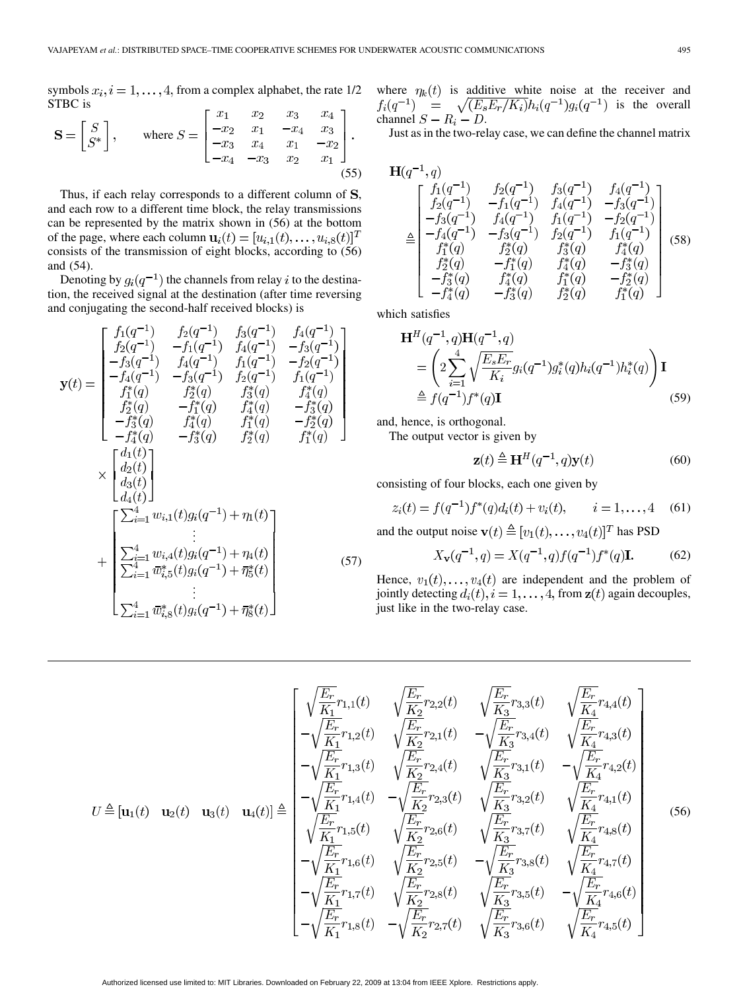symbols  $x_i$ ,  $i = 1, ..., 4$ , from a complex alphabet, the rate 1/2 STBC is  $\mathbf{r}$  .

$$
\mathbf{S} = \begin{bmatrix} S \\ S^* \end{bmatrix}, \quad \text{where } S = \begin{bmatrix} x_1 & x_2 & x_3 & x_4 \\ -x_2 & x_1 & -x_4 & x_3 \\ -x_3 & x_4 & x_1 & -x_2 \\ -x_4 & -x_3 & x_2 & x_1 \end{bmatrix}.
$$
\n
$$
(55)
$$

Thus, if each relay corresponds to a different column of  $S$ , and each row to a different time block, the relay transmissions can be represented by the matrix shown in (56) at the bottom of the page, where each column  $\mathbf{u}_i(t) = [u_{i,1}(t), \dots, u_{i,8}(t)]^T$ consists of the transmission of eight blocks, according to (56) and (54).

Denoting by  $g_i(q^{-1})$  the channels from relay i to the destination, the received signal at the destination (after time reversing and conjugating the second-half received blocks) is

$$
\mathbf{y}(t) = \begin{bmatrix} f_1(q^{-1}) & f_2(q^{-1}) & f_3(q^{-1}) & f_4(q^{-1}) \\ f_2(q^{-1}) & -f_1(q^{-1}) & f_4(q^{-1}) & -f_3(q^{-1}) \\ -f_3(q^{-1}) & f_4(q^{-1}) & f_1(q^{-1}) & -f_2(q^{-1}) \\ -f_4(q^{-1}) & -f_3(q^{-1}) & f_2(q^{-1}) & f_1(q^{-1}) \\ f_1^*(q) & f_2^*(q) & f_3^*(q) & f_4^*(q) \\ f_2^*(q) & -f_1^*(q) & f_4^*(q) & -f_3^*(q) \\ -f_3^*(q) & f_4^*(q) & f_1^*(q) & -f_2^*(q) \\ -f_4^*(q) & -f_3^*(q) & f_2^*(q) & f_1^*(q) \end{bmatrix}
$$

$$
\times \begin{bmatrix} d_1(t) \\ d_2(t) \\ d_3(t) \\ d_4(t) \end{bmatrix}
$$

$$
+ \begin{bmatrix} \sum_{i=1}^4 w_{i,1}(t)g_i(q^{-1}) + \eta_1(t) \\ \sum_{i=1}^4 w_{i,2}(t)g_i(q^{-1}) + \eta_2^*(t) \\ \sum_{i=1}^4 w_{i,3}(t)g_i(q^{-1}) + \eta_3^*(t) \\ \vdots \\ \sum_{i=1}^4 w_{i,8}^*(t)g_i(q^{-1}) + \eta_3^*(t) \end{bmatrix} \qquad (57)
$$

where  $\eta_k(t)$  is additive white noise at the receiver and  $f_i(q^{-1})$  =  $\sqrt{(E_s E_r/K_i)} h_i(q^{-1}) g_i(q^{-1})$  is the overall channel  $S - R_i - D$ .

Just as in the two-relay case, we can define the channel matrix

$$
\mathbf{H}(q^{-1}, q)
$$
\n
$$
\triangleq \begin{bmatrix}\nf_1(q^{-1}) & f_2(q^{-1}) & f_3(q^{-1}) & f_4(q^{-1}) \\
f_2(q^{-1}) & -f_1(q^{-1}) & f_4(q^{-1}) & -f_3(q^{-1}) \\
-f_3(q^{-1}) & f_4(q^{-1}) & f_1(q^{-1}) & -f_2(q^{-1}) \\
-f_4(q^{-1}) & -f_3(q^{-1}) & f_2(q^{-1}) & f_1(q^{-1}) \\
f_1^*(q) & f_2^*(q) & f_3^*(q) & f_4^*(q) \\
f_2^*(q) & -f_1^*(q) & f_4^*(q) & -f_3^*(q) \\
-f_3^*(q) & f_4^*(q) & f_1^*(q) & -f_2^*(q) \\
-f_4^*(q) & f_4^*(q) & f_1^*(q) & -f_2^*(q) \\
-f_4^*(q) & -f_3^*(q) & f_2^*(q) & f_1^*(q)\n\end{bmatrix} (58)
$$

which satisfies  $\mathbf{r}$ 

$$
\mathbf{H}^{H}(q^{-1}, q)\mathbf{H}(q^{-1}, q)
$$
\n
$$
= \left(2\sum_{i=1}^{4} \sqrt{\frac{E_{s}E_{r}}{K_{i}}}g_{i}(q^{-1})g_{i}^{*}(q)h_{i}(q^{-1})h_{i}^{*}(q)\right)\mathbf{I}
$$
\n
$$
\triangleq f(q^{-1})f^{*}(q)\mathbf{I}
$$
\n(59)

and, hence, is orthogonal.

The output vector is given by

$$
\mathbf{z}(t) \triangleq \mathbf{H}^{H}(q^{-1}, q)\mathbf{y}(t)
$$
 (60)

consisting of four blocks, each one given by

$$
z_i(t) = f(q^{-1})f^*(q)d_i(t) + v_i(t), \qquad i = 1, ..., 4 \quad (61)
$$

and the output noise  $\mathbf{v}(t) \triangleq [v_1(t), \dots, v_4(t)]^T$  has PSD

$$
X_{\mathbf{v}}(q^{-1},q) = X(q^{-1},q)f(q^{-1})f^*(q)\mathbf{I}.
$$
 (62)

Hence,  $v_1(t), \ldots, v_4(t)$  are independent and the problem of jointly detecting  $d_i(t)$ ,  $i = 1, \ldots, 4$ , from  $z(t)$  again decouples, just like in the two-relay case.

$$
U \triangleq [\mathbf{u}_{1}(t) \quad \mathbf{u}_{2}(t) \quad \mathbf{u}_{3}(t) \quad \mathbf{u}_{4}(t)] \triangleq \begin{bmatrix} \sqrt{\frac{E_{r}}{K_{1}}}r_{1,1}(t) & \sqrt{\frac{E_{r}}{K_{2}}}r_{2,2}(t) & \sqrt{\frac{E_{r}}{K_{3}}}r_{3,3}(t) & \sqrt{\frac{E_{r}}{K_{4}}}r_{4,4}(t) \\ -\sqrt{\frac{E_{r}}{K_{1}}}r_{1,2}(t) & \sqrt{\frac{E_{r}}{K_{2}}}r_{2,1}(t) & -\sqrt{\frac{E_{r}}{K_{3}}}r_{3,4}(t) & \sqrt{\frac{E_{r}}{K_{4}}}r_{4,3}(t) \\ -\sqrt{\frac{E_{r}}{K_{1}}}r_{1,3}(t) & \sqrt{\frac{E_{r}}{K_{2}}}r_{2,4}(t) & \sqrt{\frac{E_{r}}{K_{3}}}r_{3,1}(t) & -\sqrt{\frac{E_{r}}{K_{4}}}r_{4,2}(t) \\ -\sqrt{\frac{E_{r}}{K_{1}}}r_{1,4}(t) & -\sqrt{\frac{E_{r}}{K_{2}}}r_{2,3}(t) & \sqrt{\frac{E_{r}}{K_{3}}}r_{3,2}(t) & \sqrt{\frac{E_{r}}{K_{4}}}r_{4,1}(t) \\ \sqrt{\frac{E_{r}}{K_{1}}}r_{1,5}(t) & \sqrt{\frac{E_{r}}{K_{2}}}r_{2,6}(t) & \sqrt{\frac{E_{r}}{K_{3}}}r_{3,7}(t) & \sqrt{\frac{E_{r}}{K_{4}}}r_{4,8}(t) \\ -\sqrt{\frac{E_{r}}{K_{1}}}r_{1,6}(t) & \sqrt{\frac{E_{r}}{K_{2}}}r_{2,5}(t) & -\sqrt{\frac{E_{r}}{K_{3}}}r_{3,8}(t) & \sqrt{\frac{E_{r}}{K_{4}}}r_{4,7}(t) \\ -\sqrt{\frac{E_{r}}{K_{1}}}r_{1,7}(t) & \sqrt{\frac{E_{r}}{K_{2}}}r_{2,8}(t) & \sqrt{\frac{E_{r}}{K_{3}}}r_{3,5}(t) & -\sqrt{\frac{E_{r}}{K_{4}}}r_{4,6}(t) \\ -\sqrt{\frac{E_{r}}{K_{1}}}r_{1,8}(t) & -\sqrt{\frac{E_{r}}{K_{2}}}r_{2,7}(t
$$

Authorized licensed use limited to: MIT Libraries. Downloaded on February 22, 2009 at 13:04 from IEEE Xplore. Restrictions apply.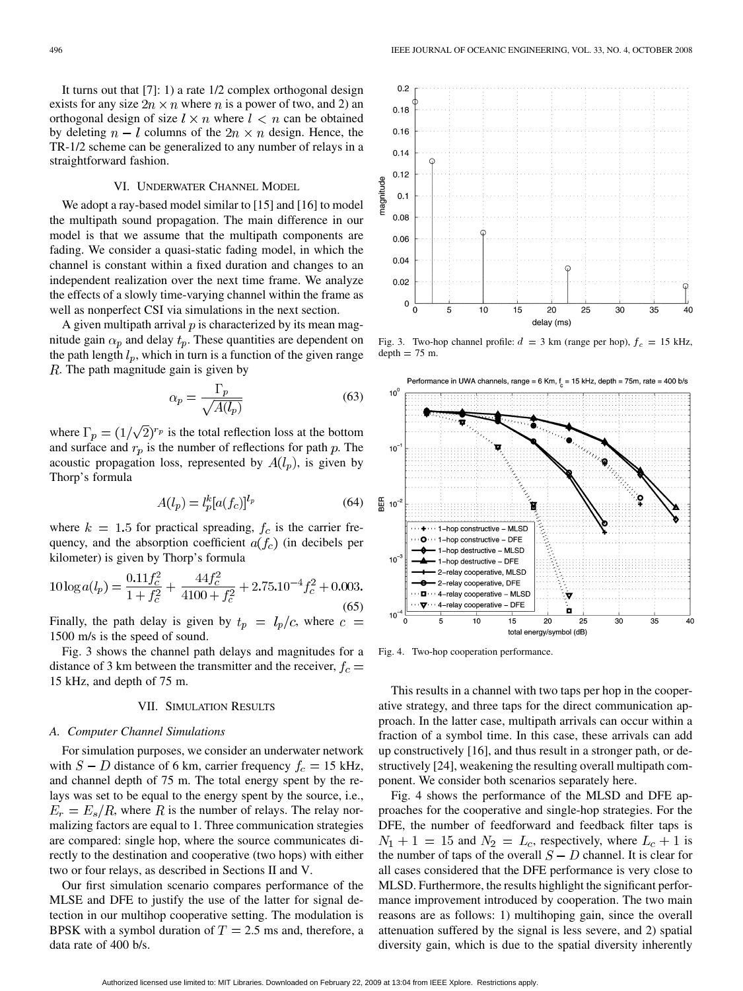It turns out that [7]: 1) a rate 1/2 complex orthogonal design exists for any size  $2n \times n$  where n is a power of two, and 2) an orthogonal design of size  $l \times n$  where  $l \times n$  can be obtained by deleting  $n-l$  columns of the  $2n \times n$  design. Hence, the TR-1/2 scheme can be generalized to any number of relays in a straightforward fashion.

## VI. UNDERWATER CHANNEL MODEL

We adopt a ray-based model similar to [15] and [16] to model the multipath sound propagation. The main difference in our model is that we assume that the multipath components are fading. We consider a quasi-static fading model, in which the channel is constant within a fixed duration and changes to an independent realization over the next time frame. We analyze the effects of a slowly time-varying channel within the frame as well as nonperfect CSI via simulations in the next section.

A given multipath arrival  $p$  is characterized by its mean magnitude gain  $\alpha_p$  and delay  $t_p$ . These quantities are dependent on the path length  $l_p$ , which in turn is a function of the given range  $R$ . The path magnitude gain is given by

$$
\alpha_p = \frac{\Gamma_p}{\sqrt{A(l_p)}}\tag{63}
$$

where  $\Gamma_p = (1/\sqrt{2})^{r_p}$  is the total reflection loss at the bottom and surface and  $r_p$  is the number of reflections for path  $p$ . The acoustic propagation loss, represented by  $A(l_p)$ , is given by Thorp's formula

$$
A(l_p) = l_p^k [a(f_c)]^{l_p} \tag{64}
$$

where  $k = 1.5$  for practical spreading,  $f_c$  is the carrier frequency, and the absorption coefficient  $a(f_c)$  (in decibels per kilometer) is given by Thorp's formula

$$
10\log a(l_p) = \frac{0.11f_c^2}{1+f_c^2} + \frac{44f_c^2}{4100+f_c^2} + 2.75.10^{-4}f_c^2 + 0.003.
$$
\n(65)

Finally, the path delay is given by  $t_p = l_p/c$ , where  $c =$ 1500 m/s is the speed of sound.

Fig. 3 shows the channel path delays and magnitudes for a distance of 3 km between the transmitter and the receiver,  $f_c =$ 15 kHz, and depth of 75 m.

#### VII. SIMULATION RESULTS

#### *A. Computer Channel Simulations*

For simulation purposes, we consider an underwater network with  $S - D$  distance of 6 km, carrier frequency  $f_c = 15$  kHz, and channel depth of 75 m. The total energy spent by the relays was set to be equal to the energy spent by the source, i.e.,  $E_r = E_s/R$ , where R is the number of relays. The relay normalizing factors are equal to 1. Three communication strategies are compared: single hop, where the source communicates directly to the destination and cooperative (two hops) with either two or four relays, as described in Sections II and V.

Our first simulation scenario compares performance of the MLSE and DFE to justify the use of the latter for signal detection in our multihop cooperative setting. The modulation is BPSK with a symbol duration of  $T = 2.5$  ms and, therefore, a data rate of 400 b/s.



Fig. 3. Two-hop channel profile:  $d = 3$  km (range per hop),  $f_c = 15$  kHz,  $depth = 75$  m.



Fig. 4. Two-hop cooperation performance.

This results in a channel with two taps per hop in the cooperative strategy, and three taps for the direct communication approach. In the latter case, multipath arrivals can occur within a fraction of a symbol time. In this case, these arrivals can add up constructively [16], and thus result in a stronger path, or destructively [24], weakening the resulting overall multipath component. We consider both scenarios separately here.

Fig. 4 shows the performance of the MLSD and DFE approaches for the cooperative and single-hop strategies. For the DFE, the number of feedforward and feedback filter taps is  $N_1 + 1 = 15$  and  $N_2 = L_c$ , respectively, where  $L_c + 1$  is the number of taps of the overall  $S - D$  channel. It is clear for all cases considered that the DFE performance is very close to MLSD. Furthermore, the results highlight the significant performance improvement introduced by cooperation. The two main reasons are as follows: 1) multihoping gain, since the overall attenuation suffered by the signal is less severe, and 2) spatial diversity gain, which is due to the spatial diversity inherently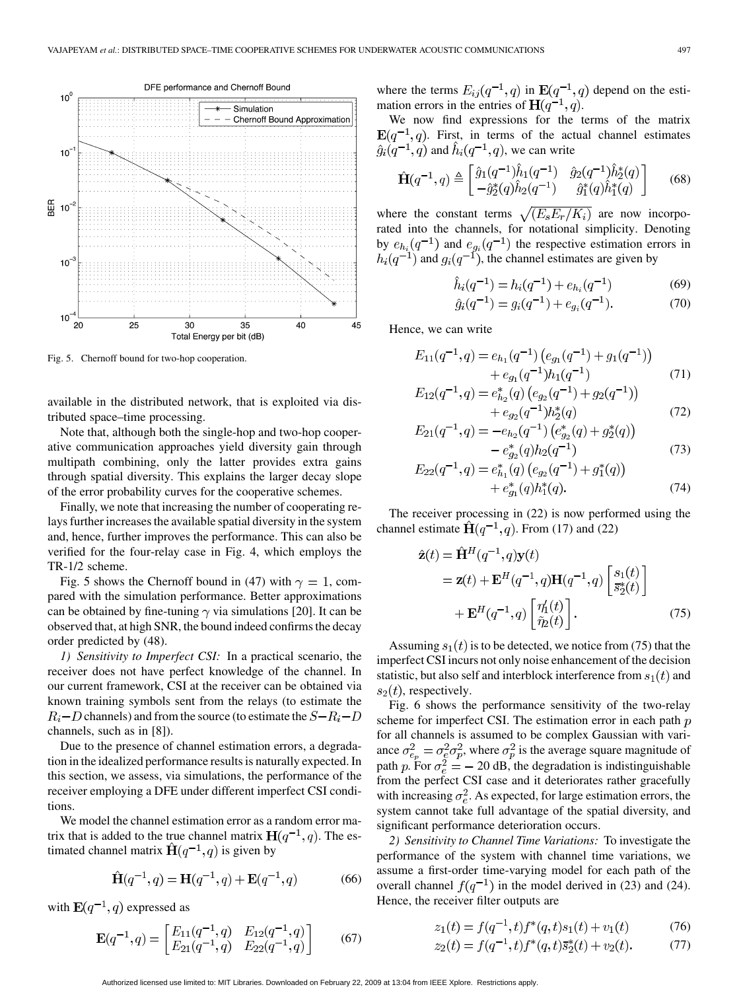

Fig. 5. Chernoff bound for two-hop cooperation.

available in the distributed network, that is exploited via distributed space–time processing.

Note that, although both the single-hop and two-hop cooperative communication approaches yield diversity gain through multipath combining, only the latter provides extra gains through spatial diversity. This explains the larger decay slope of the error probability curves for the cooperative schemes.

Finally, we note that increasing the number of cooperating relays further increases the available spatial diversity in the system and, hence, further improves the performance. This can also be verified for the four-relay case in Fig. 4, which employs the TR-1/2 scheme.

Fig. 5 shows the Chernoff bound in (47) with  $\gamma = 1$ , compared with the simulation performance. Better approximations can be obtained by fine-tuning  $\gamma$  via simulations [20]. It can be observed that, at high SNR, the bound indeed confirms the decay order predicted by (48).

*1) Sensitivity to Imperfect CSI:* In a practical scenario, the receiver does not have perfect knowledge of the channel. In our current framework, CSI at the receiver can be obtained via known training symbols sent from the relays (to estimate the  $R_i$  – D channels) and from the source (to estimate the  $S - R_i - D$ channels, such as in [8]).

Due to the presence of channel estimation errors, a degradation in the idealized performance results is naturally expected. In this section, we assess, via simulations, the performance of the receiver employing a DFE under different imperfect CSI conditions.

We model the channel estimation error as a random error matrix that is added to the true channel matrix  $H(q^{-1}, q)$ . The estimated channel matrix  $\hat{H}(q^{-1}, q)$  is given by

$$
\hat{H}(q^{-1}, q) = H(q^{-1}, q) + E(q^{-1}, q)
$$
 (66)

with  $E(q^{-1}, q)$  expressed as

$$
\mathbf{E}(q^{-1},q) = \begin{bmatrix} E_{11}(q^{-1},q) & E_{12}(q^{-1},q) \\ E_{21}(q^{-1},q) & E_{22}(q^{-1},q) \end{bmatrix}
$$
(67)

where the terms  $E_{ij}(q^{-1},q)$  in  $\mathbf{E}(q^{-1},q)$  depend on the estimation errors in the entries of  $H(q^{-1}, q)$ .

We now find expressions for the terms of the matrix  $E(q^{-1}, q)$ . First, in terms of the actual channel estimates  $\hat{g}_i(q^{-1}, q)$  and  $\hat{h}_i(q^{-1}, q)$ , we can write

$$
\hat{\mathbf{H}}(q^{-1},q) \triangleq \begin{bmatrix} \hat{g}_1(q^{-1})\hat{h}_1(q^{-1}) & \hat{g}_2(q^{-1})\hat{h}_2^*(q) \\ -\hat{g}_2^*(q)\hat{h}_2(q^{-1}) & \hat{g}_1^*(q)\hat{h}_1^*(q) \end{bmatrix} \tag{68}
$$

where the constant terms  $\sqrt{(E_s E_r / \overline{K_i})}$  are now incorporated into the channels, for notational simplicity. Denoting by  $e_{h_i}(q^{-1})$  and  $e_{q_i}(q^{-1})$  the respective estimation errors in and  $g_i(q^{-1})$ , the channel estimates are given by

$$
\hat{h}_i(q^{-1}) = h_i(q^{-1}) + e_{h_i}(q^{-1})
$$
\n(69)

$$
\hat{g}_i(q^{-1}) = g_i(q^{-1}) + e_{g_i}(q^{-1}).\tag{70}
$$

Hence, we can write

$$
E_{11}(q^{-1}, q) = e_{h_1}(q^{-1}) \left( e_{g_1}(q^{-1}) + g_1(q^{-1}) \right) + e_{g_1}(q^{-1}) h_1(q^{-1})
$$
 (71)

$$
E_{12}(q^{-1},q) = e_{h_2}^*(q) \left( e_{g_2}(q^{-1}) + g_2(q^{-1}) \right) + e_{g_2}(q^{-1}) h_2^*(q)
$$
 (72)

$$
E_{21}(q^{-1},q) = -e_{h_2}(q^{-1}) \left( e_{g_2}^*(q) + g_2^*(q) \right)
$$
  
- 
$$
e_{g_2}^*(q) h_2(q^{-1})
$$
 (73)

$$
E_{22}(q^{-1},q) = e_{h_1}^*(q) \left( e_{g_2}(q^{-1}) + g_1^*(q) \right) + e_{g_1}^*(q) h_1^*(q).
$$
 (74)

The receiver processing in (22) is now performed using the channel estimate  $\hat{H}(q^{-1}, q)$ . From (17) and (22)

$$
\hat{\mathbf{z}}(t) = \hat{\mathbf{H}}^H(q^{-1}, q)\mathbf{y}(t)
$$
  
=  $\mathbf{z}(t) + \mathbf{E}^H(q^{-1}, q)\mathbf{H}(q^{-1}, q)\begin{bmatrix} s_1(t) \\ \bar{s}_2^*(t) \end{bmatrix}$   
+  $\mathbf{E}^H(q^{-1}, q)\begin{bmatrix} \eta'_1(t) \\ \tilde{\eta}_2(t) \end{bmatrix}$ . (75)

Assuming  $s_1(t)$  is to be detected, we notice from (75) that the imperfect CSI incurs not only noise enhancement of the decision statistic, but also self and interblock interference from  $s_1(t)$  and  $s_2(t)$ , respectively.

Fig. 6 shows the performance sensitivity of the two-relay scheme for imperfect CSI. The estimation error in each path  $p$ for all channels is assumed to be complex Gaussian with variance  $\sigma_{e_n}^2 = \sigma_e^2 \sigma_p^2$ , where  $\sigma_p^2$  is the average square magnitude of path p. For  $\sigma_e^2 = -20$  dB, the degradation is indistinguishable from the perfect CSI case and it deteriorates rather gracefully with increasing  $\sigma_e^2$ . As expected, for large estimation errors, the system cannot take full advantage of the spatial diversity, and significant performance deterioration occurs.

*2) Sensitivity to Channel Time Variations:* To investigate the performance of the system with channel time variations, we assume a first-order time-varying model for each path of the overall channel  $f(q^{-1})$  in the model derived in (23) and (24). Hence, the receiver filter outputs are

$$
z_1(t) = f(q^{-1}, t) f^*(q, t) s_1(t) + v_1(t)
$$
(76)  

$$
z_1(t) = f(q^{-1}, t) f^*(q, t) \overline{\sigma}^*(t) + v_1(t)
$$
(77)

$$
g(t) = f(q^{-1}, t)f^*(q, t)\overline{s}_2^*(t) + v_2(t). \tag{77}
$$

Authorized licensed use limited to: MIT Libraries. Downloaded on February 22, 2009 at 13:04 from IEEE Xplore. Restrictions apply.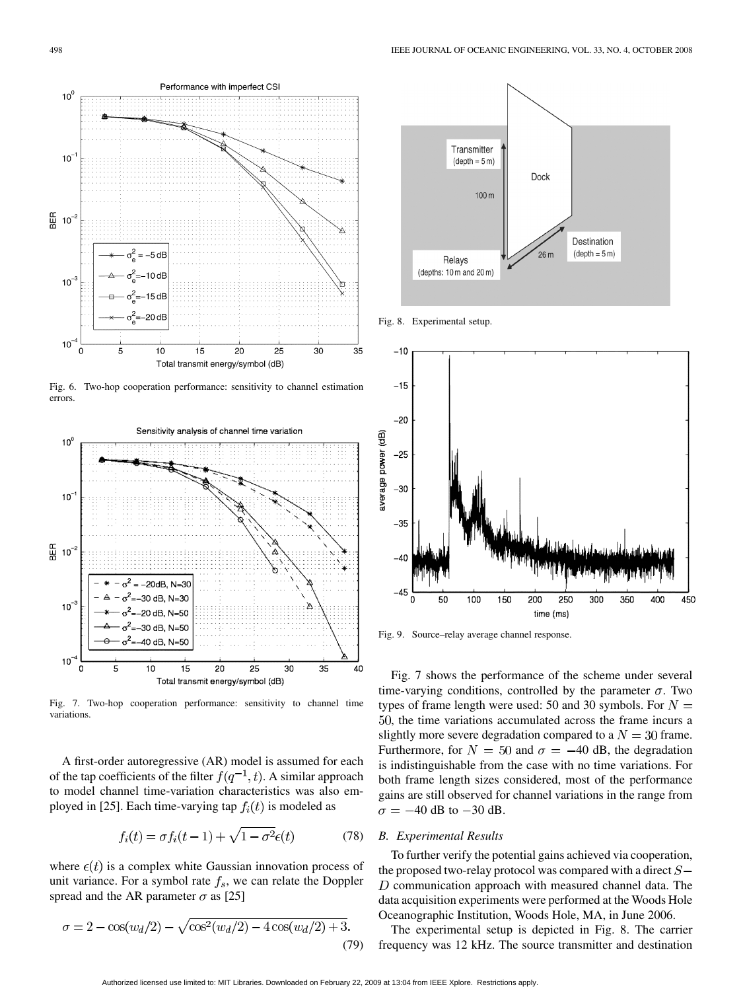

Fig. 6. Two-hop cooperation performance: sensitivity to channel estimation errors.



Fig. 7. Two-hop cooperation performance: sensitivity to channel time variations.

A first-order autoregressive (AR) model is assumed for each of the tap coefficients of the filter  $f(q^{-1}, t)$ . A similar approach to model channel time-variation characteristics was also employed in [25]. Each time-varying tap  $f_i(t)$  is modeled as

$$
f_i(t) = \sigma f_i(t-1) + \sqrt{1 - \sigma^2} \epsilon(t)
$$
\n(78)

where  $\epsilon(t)$  is a complex white Gaussian innovation process of unit variance. For a symbol rate  $f_s$ , we can relate the Doppler spread and the AR parameter  $\sigma$  as [25]

$$
\sigma = 2 - \cos(w_d/2) - \sqrt{\cos^2(w_d/2) - 4\cos(w_d/2) + 3}.
$$
\n(79)



Fig. 8. Experimental setup.



Fig. 9. Source–relay average channel response.

Fig. 7 shows the performance of the scheme under several time-varying conditions, controlled by the parameter  $\sigma$ . Two types of frame length were used: 50 and 30 symbols. For  $N =$ 50, the time variations accumulated across the frame incurs a slightly more severe degradation compared to a  $N = 30$  frame. Furthermore, for  $N = 50$  and  $\sigma = -40$  dB, the degradation is indistinguishable from the case with no time variations. For both frame length sizes considered, most of the performance gains are still observed for channel variations in the range from  $\sigma = -40$  dB to  $-30$  dB.

# *B. Experimental Results*

To further verify the potential gains achieved via cooperation, the proposed two-relay protocol was compared with a direct  $S D$  communication approach with measured channel data. The data acquisition experiments were performed at the Woods Hole Oceanographic Institution, Woods Hole, MA, in June 2006.

The experimental setup is depicted in Fig. 8. The carrier frequency was 12 kHz. The source transmitter and destination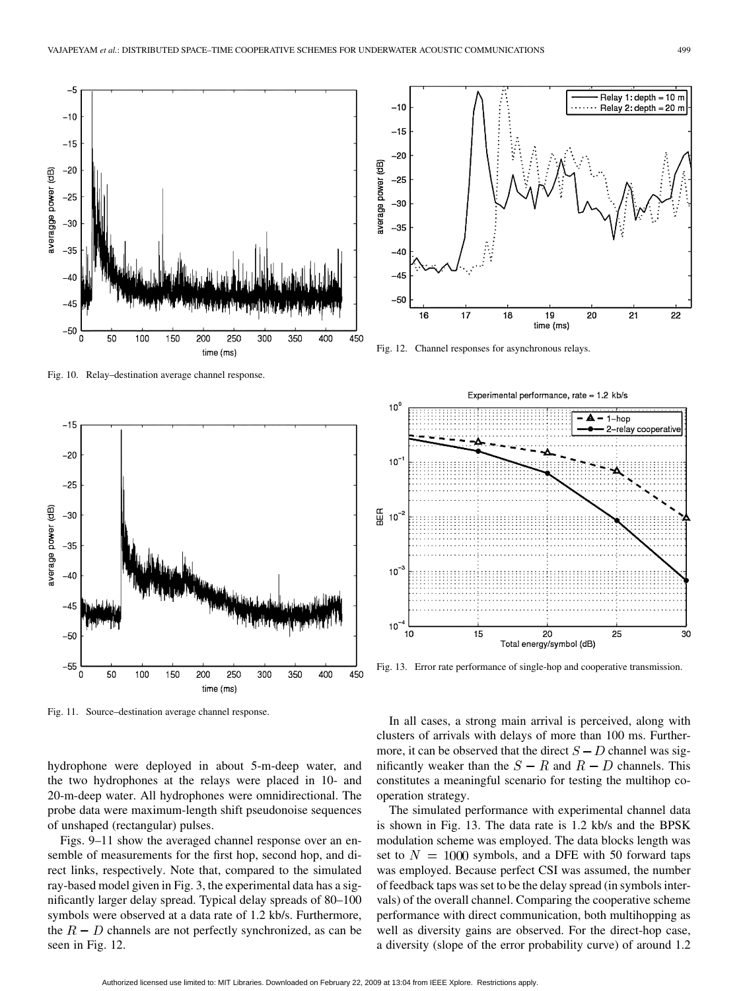

Fig. 10. Relay–destination average channel response.



Fig. 11. Source–destination average channel response.

hydrophone were deployed in about 5-m-deep water, and the two hydrophones at the relays were placed in 10- and 20-m-deep water. All hydrophones were omnidirectional. The probe data were maximum-length shift pseudonoise sequences of unshaped (rectangular) pulses.

Figs. 9–11 show the averaged channel response over an ensemble of measurements for the first hop, second hop, and direct links, respectively. Note that, compared to the simulated ray-based model given in Fig. 3, the experimental data has a significantly larger delay spread. Typical delay spreads of 80–100 symbols were observed at a data rate of 1.2 kb/s. Furthermore, the  $R - D$  channels are not perfectly synchronized, as can be seen in Fig. 12.



Fig. 12. Channel responses for asynchronous relays.



Fig. 13. Error rate performance of single-hop and cooperative transmission.

In all cases, a strong main arrival is perceived, along with clusters of arrivals with delays of more than 100 ms. Furthermore, it can be observed that the direct  $S - D$  channel was significantly weaker than the  $S - R$  and  $R - D$  channels. This constitutes a meaningful scenario for testing the multihop cooperation strategy.

The simulated performance with experimental channel data is shown in Fig. 13. The data rate is 1.2 kb/s and the BPSK modulation scheme was employed. The data blocks length was set to  $N = 1000$  symbols, and a DFE with 50 forward taps was employed. Because perfect CSI was assumed, the number of feedback taps was set to be the delay spread (in symbols intervals) of the overall channel. Comparing the cooperative scheme performance with direct communication, both multihopping as well as diversity gains are observed. For the direct-hop case, a diversity (slope of the error probability curve) of around 1.2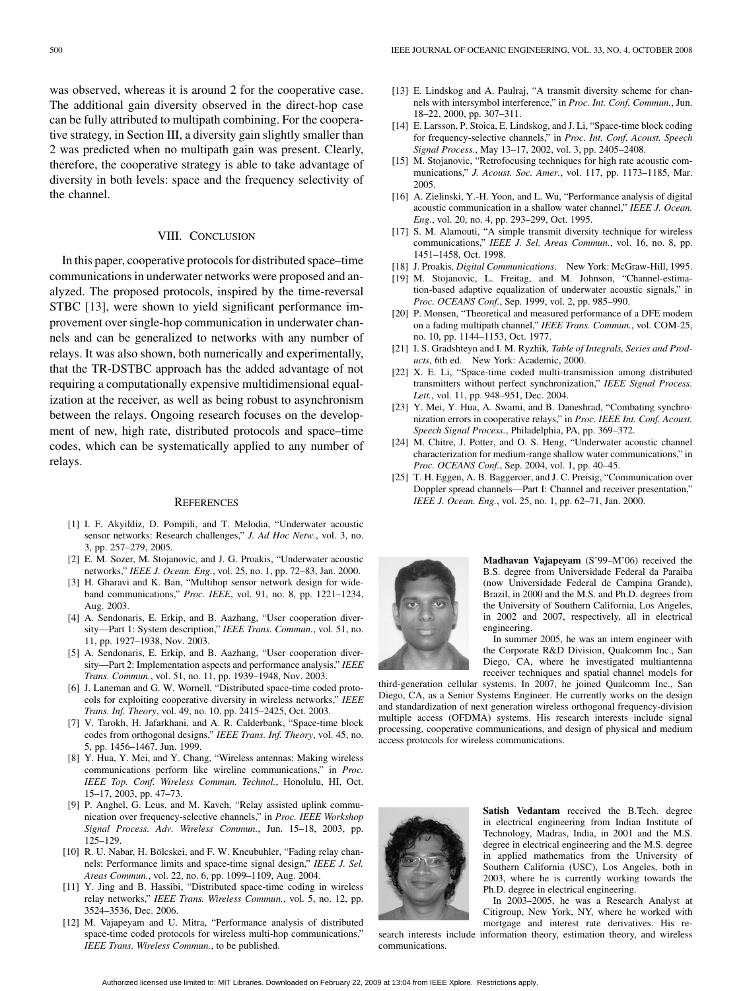was observed, whereas it is around 2 for the cooperative case. The additional gain diversity observed in the direct-hop case can be fully attributed to multipath combining. For the cooperative strategy, in Section III, a diversity gain slightly smaller than 2 was predicted when no multipath gain was present. Clearly, therefore, the cooperative strategy is able to take advantage of diversity in both levels: space and the frequency selectivity of the channel.

# VIII. CONCLUSION

In this paper, cooperative protocols for distributed space–time communications in underwater networks were proposed and analyzed. The proposed protocols, inspired by the time-reversal STBC [13], were shown to yield significant performance improvement over single-hop communication in underwater channels and can be generalized to networks with any number of relays. It was also shown, both numerically and experimentally, that the TR-DSTBC approach has the added advantage of not requiring a computationally expensive multidimensional equalization at the receiver, as well as being robust to asynchronism between the relays. Ongoing research focuses on the development of new, high rate, distributed protocols and space–time codes, which can be systematically applied to any number of relays.

#### **REFERENCES**

- [1] I. F. Akyildiz, D. Pompili, and T. Melodia, "Underwater acoustic sensor networks: Research challenges," *J. Ad Hoc Netw.*, vol. 3, no. 3, pp. 257–279, 2005.
- [2] E. M. Sozer, M. Stojanovic, and J. G. Proakis, "Underwater acoustic networks," *IEEE J. Ocean. Eng.*, vol. 25, no. 1, pp. 72–83, Jan. 2000.
- [3] H. Gharavi and K. Ban, "Multihop sensor network design for wideband communications," *Proc. IEEE*, vol. 91, no. 8, pp. 1221–1234, Aug. 2003.
- [4] A. Sendonaris, E. Erkip, and B. Aazhang, "User cooperation diversity—Part 1: System description," *IEEE Trans. Commun.*, vol. 51, no. 11, pp. 1927–1938, Nov. 2003.
- [5] A. Sendonaris, E. Erkip, and B. Aazhang, "User cooperation diversity—Part 2: Implementation aspects and performance analysis," *IEEE Trans. Commun.*, vol. 51, no. 11, pp. 1939–1948, Nov. 2003.
- [6] J. Laneman and G. W. Wornell, "Distributed space-time coded protocols for exploiting cooperative diversity in wireless networks," *IEEE Trans. Inf. Theory*, vol. 49, no. 10, pp. 2415–2425, Oct. 2003.
- [7] V. Tarokh, H. Jafarkhani, and A. R. Calderbank, "Space-time block codes from orthogonal designs," *IEEE Trans. Inf. Theory*, vol. 45, no. 5, pp. 1456–1467, Jun. 1999.
- [8] Y. Hua, Y. Mei, and Y. Chang, "Wireless antennas: Making wireless communications perform like wireline communications," in *Proc. IEEE Top. Conf. Wireless Commun. Technol.*, Honolulu, HI, Oct. 15–17, 2003, pp. 47–73.
- [9] P. Anghel, G. Leus, and M. Kaveh, "Relay assisted uplink communication over frequency-selective channels," in *Proc. IEEE Workshop Signal Process. Adv. Wireless Commun.*, Jun. 15–18, 2003, pp. 125–129.
- [10] R. U. Nabar, H. Bölcskei, and F. W. Kneubuhler, "Fading relay channels: Performance limits and space-time signal design," *IEEE J. Sel. Areas Commun.*, vol. 22, no. 6, pp. 1099–1109, Aug. 2004.
- [11] Y. Jing and B. Hassibi, "Distributed space-time coding in wireless relay networks," *IEEE Trans. Wireless Commun.*, vol. 5, no. 12, pp. 3524–3536, Dec. 2006.
- [12] M. Vajapeyam and U. Mitra, "Performance analysis of distributed space-time coded protocols for wireless multi-hop communications," *IEEE Trans. Wireless Commun.*, to be published.
- [13] E. Lindskog and A. Paulraj, "A transmit diversity scheme for channels with intersymbol interference," in *Proc. Int. Conf. Commun.*, Jun. 18–22, 2000, pp. 307–311.
- [14] E. Larsson, P. Stoica, E. Lindskog, and J. Li, "Space-time block coding for frequency-selective channels," in *Proc. Int. Conf. Acoust. Speech Signal Process.*, May 13–17, 2002, vol. 3, pp. 2405–2408.
- [15] M. Stojanovic, "Retrofocusing techniques for high rate acoustic communications," *J. Acoust. Soc. Amer.*, vol. 117, pp. 1173–1185, Mar. 2005.
- [16] A. Zielinski, Y.-H. Yoon, and L. Wu, "Performance analysis of digital acoustic communication in a shallow water channel," *IEEE J. Ocean. Eng.*, vol. 20, no. 4, pp. 293–299, Oct. 1995.
- [17] S. M. Alamouti, "A simple transmit diversity technique for wireless communications," *IEEE J. Sel. Areas Commun.*, vol. 16, no. 8, pp. 1451–1458, Oct. 1998.
- [18] J. Proakis*, Digital Communications*. New York: McGraw-Hill, 1995.
- [19] M. Stojanovic, L. Freitag, and M. Johnson, "Channel-estimation-based adaptive equalization of underwater acoustic signals," in *Proc. OCEANS Conf.*, Sep. 1999, vol. 2, pp. 985–990.
- [20] P. Monsen, "Theoretical and measured performance of a DFE modem on a fading multipath channel," *IEEE Trans. Commun.*, vol. COM-25, no. 10, pp. 1144–1153, Oct. 1977.
- [21] I. S. Gradshteyn and I. M. Ryzhik*, Table of Integrals, Series and Products*, 6th ed. New York: Academic, 2000.
- [22] X. E. Li, "Space-time coded multi-transmission among distributed transmitters without perfect synchronization," *IEEE Signal Process. Lett.*, vol. 11, pp. 948–951, Dec. 2004.
- [23] Y. Mei, Y. Hua, A. Swami, and B. Daneshrad, "Combating synchronization errors in cooperative relays," in *Proc. IEEE Int. Conf. Acoust. Speech Signal Process.*, Philadelphia, PA, pp. 369–372.
- [24] M. Chitre, J. Potter, and O. S. Heng, "Underwater acoustic channel characterization for medium-range shallow water communications," in *Proc. OCEANS Conf.*, Sep. 2004, vol. 1, pp. 40–45.
- [25] T. H. Eggen, A. B. Baggeroer, and J. C. Preisig, "Communication over Doppler spread channels—Part I: Channel and receiver presentation," *IEEE J. Ocean. Eng.*, vol. 25, no. 1, pp. 62–71, Jan. 2000.



**Madhavan Vajapeyam** (S'99–M'06) received the B.S. degree from Universidade Federal da Paraiba (now Universidade Federal de Campina Grande), Brazil, in 2000 and the M.S. and Ph.D. degrees from the University of Southern California, Los Angeles, in 2002 and 2007, respectively, all in electrical engineering.

In summer 2005, he was an intern engineer with the Corporate R&D Division, Qualcomm Inc., San Diego, CA, where he investigated multiantenna receiver techniques and spatial channel models for

third-generation cellular systems. In 2007, he joined Qualcomm Inc., San Diego, CA, as a Senior Systems Engineer. He currently works on the design and standardization of next generation wireless orthogonal frequency-division multiple access (OFDMA) systems. His research interests include signal processing, cooperative communications, and design of physical and medium access protocols for wireless communications.



**Satish Vedantam** received the B.Tech. degree in electrical engineering from Indian Institute of Technology, Madras, India, in 2001 and the M.S. degree in electrical engineering and the M.S. degree in applied mathematics from the University of Southern California (USC), Los Angeles, both in 2003, where he is currently working towards the Ph.D. degree in electrical engineering.

In 2003–2005, he was a Research Analyst at Citigroup, New York, NY, where he worked with mortgage and interest rate derivatives. His research interests include information theory, estimation theory, and wireless

communications.